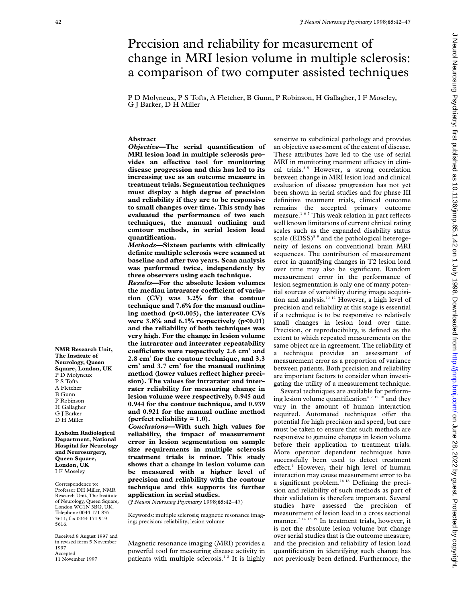# Precision and reliability for measurement of change in MRI lesion volume in multiple sclerosis: a comparison of two computer assisted techniques

P D Molyneux, P S Tofts, A Fletcher, B Gunn, P Robinson, H Gallagher, I F Moseley, G J Barker, D H Miller

# **Abstract**

*Objective***—The serial quantification of MRI lesion load in multiple sclerosis pro**vides an effective tool for monitoring **disease progression and this has led to its increasing use as an outcome measure in treatment trials. Segmentation techniques must display a high degree of precision and reliability if they are to be responsive to small changes over time. This study has evaluated the performance of two such techniques, the manual outlining and contour methods, in serial lesion load quantification.**

*Methods***—Sixteen patients with clinically definite multiple sclerosis were scanned at baseline and after two years. Scan analysis was performed twice, independently by three observers using each technique.**

*Results***—For the absolute lesion volumes** the median intrarater coefficient of varia**tion (CV) was 3.2% for the contour technique and 7.6% for the manual outlining method (p<0.005), the interrater CVs were 3.8% and 6.1% respectively (p<0.01) and the reliability of both techniques was very high. For the change in lesion volume the intrarater and interrater repeatability coeYcients were respectively 2.6 cm3 and 2.8 cm3 for the contour technique, and 3.3 cm3 and 3.7 cm3 for the manual outlining method (lower values reflect higher precision). The values for intrarater and interrater reliability for measuring change in lesion volume were respectively, 0.945 and 0.944 for the contour technique, and 0.939 and 0.921 for the manual outline method (perfect reliability = 1.0).**

*Conclusions***—With such high values for reliability, the impact of measurement error in lesion segmentation on sample size requirements in multiple sclerosis treatment trials is minor. This study shows that a change in lesion volume can be measured with a higher level of precision and reliability with the contour technique and this supports its further application in serial studies.**

(*J Neurol Neurosurg Psychiatry* 1998;**65**:42–47)

Keywords: multiple sclerosis; magnetic resonance imaging; precision; reliability; lesion volume

Magnetic resonance imaging (MRI) provides a powerful tool for measuring disease activity in patients with multiple sclerosis.<sup>12</sup> It is highly

sensitive to subclinical pathology and provides an objective assessment of the extent of disease. These attributes have led to the use of serial MRI in monitoring treatment efficacy in clinical trials. $3-5$  However, a strong correlation between change in MRI lesion load and clinical evaluation of disease progression has not yet been shown in serial studies and for phase III definitive treatment trials, clinical outcome remains the accepted primary outcome measure.<sup>167</sup> This weak relation in part reflects well known limitations of current clinical rating scales such as the expanded disability status scale (EDSS)<sup>8,9</sup> and the pathological heterogeneity of lesions on conventional brain MRI sequences. The contribution of measurement error in quantifying changes in T2 lesion load over time may also be significant. Random measurement error in the performance of lesion segmentation is only one of many potential sources of variability during image acquisition and analysis.<sup>10-12</sup> However, a high level of precision and reliability at this stage is essential if a technique is to be responsive to relatively small changes in lesion load over time. Precision, or reproducibility, is defined as the extent to which repeated measurements on the same object are in agreement. The reliability of a technique provides an assessment of measurement error as a proportion of variance between patients. Both precision and reliability are important factors to consider when investigating the utility of a measurement technique.

Several techniques are available for performing lesion volume quantification<sup>4712-18</sup> and they vary in the amount of human interaction required. Automated techniques offer the potential for high precision and speed, but care must be taken to ensure that such methods are responsive to genuine changes in lesion volume before their application to treatment trials. More operator dependent techniques have successfully been used to detect treatment effect.<sup>4</sup> However, their high level of human interaction may cause measurement error to be a significant problem.16 18 Defining the precision and reliability of such methods as part of their validation is therefore important. Several studies have assessed the precision of measurement of lesion load in a cross sectional manner.<sup>7 14 16-19</sup> In treatment trials, however, it is not the absolute lesion volume but change over serial studies that is the outcome measure, and the precision and reliability of lesion load quantification in identifying such change has not previously been defined. Furthermore, the

**NMR Research Unit, The Institute of Neurology, Queen Square, London, UK** P D Molyneux P S Tofts A Fletcher B Gunn P Robinson H Gallagher G J Barker D H Miller

**Lysholm Radiological Department, National Hospital for Neurology and Neurosurgery, Queen Square, London, UK** I F Moseley

Correspondence to: Professor DH Miller, NMR Research Unit, The Institute of Neurology, Queen Square, London WC1N 3BG, UK. Telephone 0044 171 837 3611; fax 0044 171 919 5616.

Received 8 August 1997 and in revised form 5 November 1997 Accepted 11 November 1997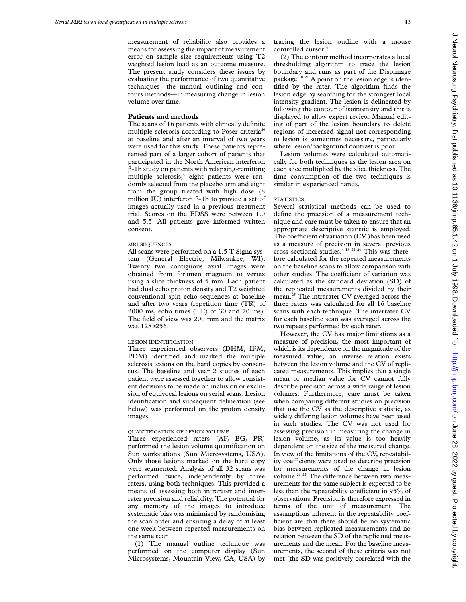measurement of reliability also provides a means for assessing the impact of measurement error on sample size requirements using T2 weighted lesion load as an outcome measure. The present study considers these issues by evaluating the performance of two quantitative techniques—the manual outlining and contours methods—in measuring change in lesion volume over time.

## **Patients and methods**

The scans of 16 patients with clinically definite multiple sclerosis according to Poser criteria<sup>20</sup> at baseline and after an interval of two years were used for this study. These patients represented part of a larger cohort of patients that participated in the North American interferon  $\beta$ -1b study on patients with relapsing-remitting multiple sclerosis;<sup>4</sup> eight patients were randomly selected from the placebo arm and eight from the group treated with high dose (8 million IU) interferon  $\beta$ -1b to provide a set of images actually used in a previous treatment trial. Scores on the EDSS were between 1.0 and 5.5. All patients gave informed written consent.

#### MRI SEQUENCES

All scans were performed on a 1.5 T Signa system (General Electric, Milwaukee, WI). Twenty two contiguous axial images were obtained from foramen magnum to vertex using a slice thickness of 5 mm. Each patient had dual echo proton density and T2 weighted conventional spin echo sequences at baseline and after two years (repetition time (TR) of 2000 ms, echo times (TE) of 30 and 70 ms). The field of view was 200 mm and the matrix was 128×256.

#### LESION IDENTIFICATION

Three experienced observers (DHM, IFM, PDM) identified and marked the multiple sclerosis lesions on the hard copies by consensus. The baseline and year 2 studies of each patient were assessed together to allow consistent decisions to be made on inclusion or exclusion of equivocal lesions on serial scans. Lesion identification and subsequent delineation (see below) was performed on the proton density images.

### QUANTIFICATION OF LESION VOLUME

Three experienced raters (AF, BG, PR) performed the lesion volume quantification on Sun workstations (Sun Microsystems, USA). Only those lesions marked on the hard copy were segmented. Analysis of all 32 scans was performed twice, independently by three raters, using both techniques. This provided a means of assessing both intrarater and interrater precision and reliability. The potential for any memory of the images to introduce systematic bias was minimised by randomising the scan order and ensuring a delay of at least one week between repeated measurements on the same scan.

(1) The manual outline technique was performed on the computer display (Sun Microsystems, Mountain View, CA, USA) by

tracing the lesion outline with a mouse controlled cursor.<sup>4</sup>

(2) The contour method incorporates a local thresholding algorithm to trace the lesion boundary and runs as part of the Dispimage package.<sup>18 21</sup> A point on the lesion edge is identified by the rater. The algorithm finds the lesion edge by searching for the strongest local intensity gradient. The lesion is delineated by following the contour of isointensity and this is displayed to allow expert review. Manual editing of part of the lesion boundary to delete regions of increased signal not corresponding to lesion is sometimes necessary, particularly where lesion/background contrast is poor.

Lesion volumes were calculated automatically for both techniques as the lesion area on each slice multiplied by the slice thickness. The time consumption of the two techniques is similar in experienced hands.

### **STATISTICS**

Several statistical methods can be used to define the precision of a measurement technique and care must be taken to ensure that an appropriate descriptive statistic is employed. The coefficient of variation (CV) has been used as a measure of precision in several previous cross sectional studies.4 18 22–24 This was therefore calculated for the repeated measurements on the baseline scans to allow comparison with other studies. The coefficient of variation was calculated as the standard deviation (SD) of the replicated measurements divided by their mean.<sup>25</sup> The intrarater CV averaged across the three raters was calculated for all 16 baseline scans with each technique. The interrater CV for each baseline scan was averaged across the two repeats performed by each rater.

However, the CV has major limitations as a measure of precision, the most important of which is its dependence on the magnitude of the measured value; an inverse relation exists between the lesion volume and the CV of replicated measurements. This implies that a single mean or median value for CV cannot fully describe precision across a wide range of lesion volumes. Furthermore, care must be taken when comparing different studies on precision that use the CV as the descriptive statistic, as widely differing lesion volumes have been used in such studies. The CV was not used for assessing precision in measuring the change in lesion volume, as its value is too heavily dependent on the size of the measured change. In view of the limitations of the CV, repeatability coefficients were used to describe precision for measurements of the change in lesion volume.<sup>26 27</sup> The difference between two measurements for the same subject is expected to be less than the repeatability coefficient in 95% of observations. Precision is therefore expressed in terms of the unit of measurement. The assumptions inherent in the repeatability coefficient are that there should be no systematic bias between replicated measurements and no relation between the SD of the replicated measurements and the mean. For the baseline measurements, the second of these criteria was not met (the SD was positively correlated with the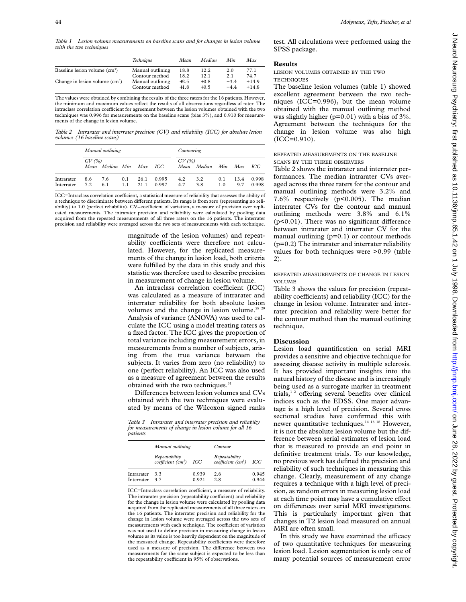*Table 1 Lesion volume measurements on baseline scans and for changes in lesion volume with the two techniques*

|                                 | Technique        | Mean   | Median | Min    | Max     |
|---------------------------------|------------------|--------|--------|--------|---------|
| Baseline lesion volume $(cm3)$  | Manual outlining | 18.8   | 12.2   | 2.0    | 77.1    |
|                                 | Contour method   | 18.2   | 12.1   | 2.1    | 74.7    |
| Change in lesion volume $(cm3)$ | Manual outlining | $+2.5$ | $+0.8$ | $-3.4$ | $+14.9$ |
|                                 | Contour method   | $+1.8$ | $+0.5$ | $-44$  | $+14.8$ |

The values were obtained by combining the results of the three raters for the 16 patients. However, the minimum and maximum values reflect the results of all observations regardless of rater. The intraclass correlation coefficient for agreement between the lesion volumes obtained with the two techniques was 0.996 for measurements on the baseline scans (bias 3%), and 0.910 for measurements of the change in lesion volume.

*Table 2 Intrarater and interrater precision (CV) and reliability (ICC) for absolute lesion volumes (16 baseline scans)*

|                          | Manual outlining |                 |            |              | Contouring     |            |                         |            |             |                |
|--------------------------|------------------|-----------------|------------|--------------|----------------|------------|-------------------------|------------|-------------|----------------|
|                          | CV(%)            | Mean Median Min |            | Max          | ICC            | CV(%)      | Mean Median Min Max ICC |            |             |                |
| Intrarater<br>Interrater | 8.6<br>7.2       | 7.6<br>6.1      | 0.1<br>1.1 | 26.1<br>21.1 | 0.995<br>0.997 | 4.2<br>4.7 | 3.2<br>3.8              | 0.1<br>1.0 | 13.4<br>9.7 | 0.998<br>0.998 |

ICC=Intraclass correlation coefficient, a statistical measure of reliability that assesses the ability of a technique to discriminate between different patients. Its range is from zero (representing no reliability) to 1.0 (perfect reliability). CV=coefficient of variation, a measure of precision over replicated measurements. The intrarater precision and reliability were calculated by pooling data acquired from the repeated measurements of all three raters on the 16 patients. The interrater precision and reliability were averaged across the two sets of measurements with each technique.

> magnitude of the lesion volumes) and repeatability coefficients were therefore not calculated. However, for the replicated measurements of the change in lesion load, both criteria were fulfilled by the data in this study and this statistic was therefore used to describe precision in measurement of change in lesion volume.

> An intraclass correlation coefficient (ICC) was calculated as a measure of intrarater and interrater reliability for both absolute lesion volumes and the change in lesion volume.<sup>28 29</sup> Analysis of variance (ANOVA) was used to calculate the ICC using a model treating raters as a fixed factor. The ICC gives the proportion of total variance including measurement errors, in measurements from a number of subjects, arising from the true variance between the subjects. It varies from zero (no reliability) to one (perfect reliability). An ICC was also used as a measure of agreement between the results obtained with the two techniques.<sup>31</sup>

> Differences between lesion volumes and CVs obtained with the two techniques were evaluated by means of the Wilcoxon signed ranks

*Table 3 Intrarater and interrater precision and reliabilty for measurements of change in lesion volume for all 16 patients*

|            | Manual outlining                                    |       | Contour                                             |       |  |
|------------|-----------------------------------------------------|-------|-----------------------------------------------------|-------|--|
|            | Repeatability<br>coefficient (cm <sup>3</sup> ) ICC |       | Repeatability<br>coefficient (cm <sup>3</sup> ) ICC |       |  |
| Intrarater | 33                                                  | 0.939 | 26                                                  | 0.945 |  |
| Interrater | 37                                                  | 0.921 | 2.8                                                 | 0.944 |  |

ICC=Intraclass correlation coefficient, a measure of reliability. The intrarater precision (repeatability coefficient) and reliability for the change in lesion volume were calculated by pooling data acquired from the replicated measurements of all three raters on the 16 patients. The interrater precision and reliability for the change in lesion volume were averaged across the two sets of measurements with each technique. The coefficient of variation was not used to define precision in measuring change in lesion volume as its value is too heavily dependent on the magnitude of the measured change. Repeatability coefficients were therefore used as a measure of precision. The difference between two measurements for the same subject is expected to be less than the repeatability coefficient in 95% of observations.

test. All calculations were performed using the SPSS package.

#### **Results**

LESION VOLUMES OBTAINED BY THE TWO **TECHNIQUES** 

The baseline lesion volumes (table 1) showed excellent agreement between the two techniques (ICC=0.996), but the mean volume obtained with the manual outlining method was slightly higher (p=0.01) with a bias of 3%. Agreement between the techniques for the change in lesion volume was also high  $(ICC=0.910).$ 

# REPEATED MEASUREMENTS ON THE BASELINE SCANS BY THE THREE OBSERVERS

Table 2 shows the intrarater and interrater performances. The median intrarater CVs averaged across the three raters for the contour and manual outlining methods were 3.2% and 7.6% respectively (p<0.005). The median interrater CVs for the contour and manual outlining methods were 3.8% and 6.1%  $(p<0.01)$ . There was no significant difference between intrarater and interrater CV for the manual outlining  $(p=0.1)$  or contour methods (p=0.2) The intrarater and interrater reliability values for both techniques were >0.99 (table 2).

REPEATED MEASUREMENTS OF CHANGE IN LESION VOLUME

Table 3 shows the values for precision (repeatability coefficients) and reliability (ICC) for the change in lesion volume. Intrarater and interrater precision and reliability were better for the contour method than the manual outlining technique.

## **Discussion**

Lesion load quantification on serial MRI provides a sensitive and objective technique for assessing disease activity in multiple sclerosis. It has provided important insights into the natural history of the disease and is increasingly being used as a surrogate marker in treatment trials, $1/2$  offering several benefits over clinical indices such as the EDSS. One major advantage is a high level of precision. Several cross sectional studies have confirmed this with newer quantitative techniques.14 16 18 However, it is not the absolute lesion volume but the difference between serial estimates of lesion load that is measured to provide an end point in definitive treatment trials. To our knowledge, no previous work has defined the precision and reliability of such techniques in measuring this change. Clearly, measurement of any change requires a technique with a high level of precision, as random errors in measuring lesion load at each time point may have a cumulative effect on differences over serial MRI investigations. This is particularly important given that changes in T2 lesion load measured on annual MRI are often small.

In this study we have examined the efficacy of two quantitative techniques for measuring lesion load. Lesion segmentation is only one of many potential sources of measurement error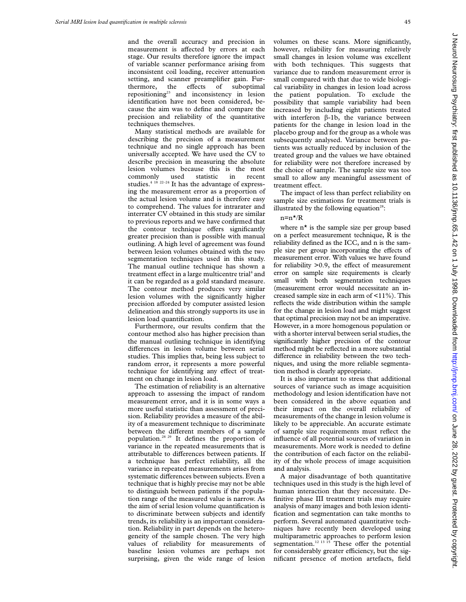and the overall accuracy and precision in measurement is affected by errors at each stage. Our results therefore ignore the impact of variable scanner performance arising from inconsistent coil loading, receiver attenuation setting, and scanner preamplifier gain. Furthermore, the effects of suboptimal repositioning<sup>23</sup> and inconsistency in lesion identification have not been considered, because the aim was to define and compare the precision and reliability of the quantitative techniques themselves.

Many statistical methods are available for describing the precision of a measurement technique and no single approach has been universally accepted. We have used the CV to describe precision in measuring the absolute lesion volumes because this is the most commonly used statistic in recent studies. $4^{18}$   $22-24$  It has the advantage of expressing the measurement error as a proportion of the actual lesion volume and is therefore easy to comprehend. The values for intrarater and interrater CV obtained in this study are similar to previous reports and we have confirmed that the contour technique offers significantly greater precision than is possible with manual outlining. A high level of agreement was found between lesion volumes obtained with the two segmentation techniques used in this study. The manual outline technique has shown a treatment effect in a large multicentre trial<sup>4</sup> and it can be regarded as a gold standard measure. The contour method produces very similar lesion volumes with the significantly higher precision afforded by computer assisted lesion delineation and this strongly supports its use in lesion load quantification.

Furthermore, our results confirm that the contour method also has higher precision than the manual outlining technique in identifying differences in lesion volume between serial studies. This implies that, being less subject to random error, it represents a more powerful technique for identifying any effect of treatment on change in lesion load.

The estimation of reliability is an alternative approach to assessing the impact of random measurement error, and it is in some ways a more useful statistic than assessment of precision. Reliability provides a measure of the ability of a measurement technique to discriminate between the different members of a sample population.28 29 It defines the proportion of variance in the repeated measurements that is attributable to differences between patients. If a technique has perfect reliability, all the variance in repeated measurements arises from systematic differences between subjects. Even a technique that is highly precise may not be able to distinguish between patients if the population range of the measured value is narrow. As the aim of serial lesion volume quantification is to discriminate between subjects and identify trends, its reliability is an important consideration. Reliability in part depends on the heterogeneity of the sample chosen. The very high values of reliability for measurements of baseline lesion volumes are perhaps not surprising, given the wide range of lesion

volumes on these scans. More significantly, however, reliability for measuring relatively small changes in lesion volume was excellent with both techniques. This suggests that variance due to random measurement error is small compared with that due to wide biological variability in changes in lesion load across the patient population. To exclude the possibility that sample variability had been increased by including eight patients treated with interferon  $\beta$ -1b, the variance between patients for the change in lesion load in the placebo group and for the group as a whole was subsequently analysed. Variance between patients was actually reduced by inclusion of the treated group and the values we have obtained for reliability were not therefore increased by the choice of sample. The sample size was too small to allow any meaningful assessment of treatment effect.

The impact of less than perfect reliability on sample size estimations for treatment trials is illustrated by the following equation<sup>28</sup>:

# $n=n^{\star}/R$

where  $n^*$  is the sample size per group based on a perfect measurement technique, R is the reliability defined as the ICC, and n is the sample size per group incorporating the effects of measurement error. With values we have found for reliability  $>0.9$ , the effect of measurement error on sample size requirements is clearly small with both segmentation techniques (measurement error would necessitate an increased sample size in each arm of  $\leq 11\%$ ). This reflects the wide distribution within the sample for the change in lesion load and might suggest that optimal precision may not be an imperative. However, in a more homogenous population or with a shorter interval between serial studies, the significantly higher precision of the contour method might be reflected in a more substantial difference in reliability between the two techniques, and using the more reliable segmentation method is clearly appropriate.

It is also important to stress that additional sources of variance such as image acquisition methodology and lesion identification have not been considered in the above equation and their impact on the overall reliability of measurements of the change in lesion volume is likely to be appreciable. An accurate estimate of sample size requirements must reflect the influence of all potential sources of variation in measurements. More work is needed to define the contribution of each factor on the reliability of the whole process of image acquisition and analysis.

A major disadvantage of both quantitative techniques used in this study is the high level of human interaction that they necessitate. Definitive phase III treatment trials may require analysis of many images and both lesion identification and segmentation can take months to perform. Several automated quantitative techniques have recently been developed using multiparametric approaches to perform lesion segmentation.<sup>12 13</sup> <sup>15</sup> These offer the potential for considerably greater efficiency, but the significant presence of motion artefacts, field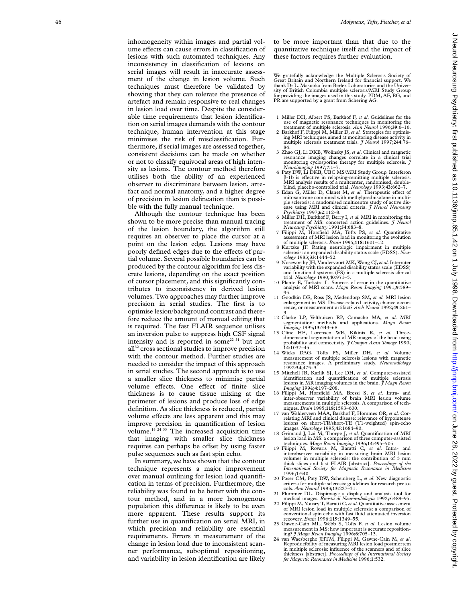inhomogeneity within images and partial volume effects can cause errors in classification of lesions with such automated techniques. Any inconsistency in classification of lesions on serial images will result in inaccurate assessment of the change in lesion volume. Such techniques must therefore be validated by showing that they can tolerate the presence of artefact and remain responsive to real changes in lesion load over time. Despite the considerable time requirements that lesion identification on serial images demands with the contour technique, human intervention at this stage minimises the risk of misclassification. Furthermore, if serial images are assessed together, consistent decisions can be made on whether or not to classify equivocal areas of high intensity as lesions. The contour method therefore utilises both the ability of an experienced observer to discriminate between lesion, artefact and normal anatomy, and a higher degree of precision in lesion delineation than is possible with the fully manual technique.

Although the contour technique has been shown to be more precise than manual tracing of the lesion boundary, the algorithm still requires an observer to place the cursor at a point on the lesion edge. Lesions may have poorly defined edges due to the effects of partial volume. Several possible boundaries can be produced by the contour algorithm for less discrete lesions, depending on the exact position of cursor placement, and this significantly contributes to inconsistency in derived lesion volumes. Two approaches may further improve precision in serial studies. The first is to optimise lesion/background contrast and therefore reduce the amount of manual editing that is required. The fast FLAIR sequence utilises an inversion pulse to suppress high CSF signal intensity and is reported in some $22$ <sup>31</sup> but not  $all<sup>32</sup>$  cross sectional studies to improve precision with the contour method. Further studies are needed to consider the impact of this approach in serial studies. The second approach is to use a smaller slice thickness to minimise partial volume effects. One effect of finite slice thickness is to cause tissue mixing at the perimeter of lesions and produce loss of edge definition. As slice thickness is reduced, partial volume effects are less apparent and this may improve precision in quantification of lesion volume.<sup>19</sup><sup>24 33</sup> The increased acquisition time that imaging with smaller slice thickness requires can perhaps be offset by using faster pulse sequences such as fast spin echo.

In summary, we have shown that the contour technique represents a major improvement over manual outlining for lesion load quantification in terms of precision. Furthermore, the reliability was found to be better with the contour method, and in a more homogenous population this difference is likely to be even more apparent. These results support its further use in quantification on serial MRI, in which precision and reliability are essential requirements. Errors in measurement of the change in lesion load due to inconsistent scanner performance, suboptimal repositioning, and variability in lesion identification are likely

to be more important than that due to the quantitative technique itself and the impact of these factors requires further evaluation.

We gratefully acknowledge the Multiple Sclerosis Society of Great Britain and Northern Ireland for financial support. We thank Dr L. Masuoka from Berlex Laboratories and the University of British Columbia multiple sclerosis/MRI Study Group providing the images used in this study. PDM, AF, BG, and PR are supported by a grant from Schering AG.

- 1 Miller DH, Albert PS, Barkhof F, *et al*. Guidelines for the use of magnetic resonance techniques in monitoring the treatment of multiple sclerosis. *Ann Neurol* 1996;**39**:6–16.
- 2 Barkhof F, Filippi M, Miller D, *et al.* Strategies for optimising MRI techniques aimed at monitoring disease activity in multiple sclerosis treatment trials. *J Neurol* 1997;**244**:76– 84.
- 3 Zhao GJ, Li DKB, Wolinsky JS, *et al*. Clinical and magnetic resonance imaging changes correlate in a clinical trial monitoring cyclosporine therapy for multiple sclerosis. *J Neuroimaging* 1997; **7**:1–7.
- 4 Paty DW, Li DKB, UBC MS/MRI Study Group. Interferon  $\beta$ -1b is effective in relapsing-remitting multiple sclerosis. MRI analysis results of a multcenter, randomised, double-
- blind, placebo-controlled trial. *Neurology* 1993;43:662-7.<br>5 Edan G, Miller D, Clanet M, *et al.* Therapeutic effect of mitoxantrone combined with methylprednisolone in multiple sclerosis: a randomised multicentre study of active disease using MRI and clinical criteria. *J Neurol Neurosurg Psychiatry* 1997;**62**:112–8.
- 6 Miller DH, Barkhof F, Berry I, *et al*. MRI in monitoring the treatment of MS: concerted action guidelines. *J Neurol Neurosurg Psychiatry* 1991;**54**:683–8.
- 7 Filippi M, Horsfield MA, Tofts PS, *et al*. Quantitative assessment of MRI lesion load in monitoring the evolution of multiple sclerosis. *Brain* 1995;**118**:1601–12.
- 8 Kurtzke JF. Rating neurologic impairment in multiple sclerosis: an expanded disability status scale (EDSS). *Neurology* 1983;**33**:1444–52.
- 9 Noseworthy JH, Vandervoort MK, Wong CJ,*et al*. Interrater variability with the expanded disability status scale (EDSS) and functional systems (FS) in a multiple sclerosis clinical trial. *Neurology* 1990;**40**:971–5.
- 10 Plante E, Turkstra L. Sources of error in the quantitative analysis of MRI scans. *Magn Reson Imaging* 1991; **9**:589– 95.
- 11 Goodkin DE, Ross JS, Medendorp SM, *et al*. MRI lesion enlargement in MS. Disease-related activity, chance occurrence, or measurement artifact? *Arch Neurol* 1992;**49**:261–
- 3. 12 Clarke LP, Velthuizen RP, Camacho MA, *et al*. MRI segmentation: methods and applications. *Magn Reson Imaging* 1995;**13**:343–68.
- 13 Cline HE, Lorensen WE, Kikinis R, *et al*. Threedimensional segmentation of MR images of the head using probability and connectivity. *J Comput Assist Tomogr* 1990; **14**:1037–45.
- 14 Wicks DAG, Tofts PS, Miller DH, *et al*. Volume measurement of multiple sclerosis lesions with magnetic resonance images. A preliminary study. *Neuroradiology* 1992:**34**;475–9.
- 15 Mitchell JR, Karlik SJ, Lee DH, *et al*. Computer-assisted identification and quantification of multiple sclerosis lesions in MR imaging volumes in the brain. *J Magn Reson Imaging* 1994; **4**:197–208.
- 16 Filippi M, Horsfield MA, Bressi S, *et al*. Intra- and inter-observer variability of brain MRI lesion volume measurements in multiple sclerosis. A comparison of techniques. *Brain* 1995;**118**:1593–600.
- 17 van Walderveen MAA, Barkhof F, Hommes OR, *et al*. Correlating MRI and clinical disease: relevance of hypointense lesions on short-TR/short-TE (T1-weighted) spin-echo
- images. *Neurology* 1995;**45**:1684–90. 18 Grimaud J, Lai M, Thorpe J, *et al*. Quantification of MRI lesion load in MS: a comparison of three computer-assisted techniques. *Magn Reson Imaging* 1996;**14**:495–505.
- 19 Filippi M, Rovaris M, Baratti C, *et al*. Intra- and interobserver variability in measuring brain MRI lesion volumes in multiple sclerosis: the contribution of 3 mm thick slices and fast FLAIR [abstract]. *Proceedings of the International Society for Magnetic Resonance in Medicine* 1996; **1**:540.
- 20 Poser CM, Paty DW, Scheinberg L, *et al*. New diagnostic criteria for multiple sclerosis: guidelines for research proto-cols. *Ann Neurol* 1983;**13**:227–31.
- 21 Plummer DL. Dispimage: a display and analysis tool for medical images. *Rivista di Neuroradiologia* 1992; **5**:489–95. 22 Filippi M, Yousry T, Baratti C,*et al*. Quantitative assessment
- of MRI lesion load in multiple sclerosis: a comparison of conventional spin echo with fast fluid attenuated inversion recovery. *Brain* 1996;**119**:1349–55. 23 Gawne-Cain ML, Webb S, Tofts P, *et al*. Lesion volume
- measurement in MS: how important is accurate reposition-ing? *J Magn Reson Imaging* 1996;**6**:705–13.
- 24 van Waesberghe JHTM, Filippi M, Gawne-Cain M, *et al* . Reproducibility of measuring MRI lesion load postmortem in multiple sclerosis: influence of the scanners and of slice thickness [abstract]. *Proceedings of the International Society for Magnetic Resonance in Medicine* 1996; **1**:532.